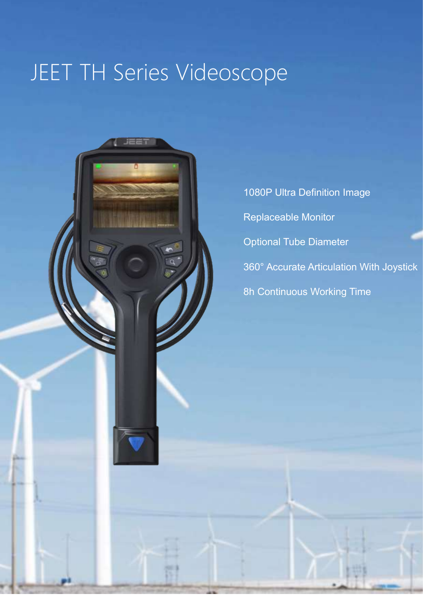# JEET TH Series Videoscope

 $JEET$ 

1080P Ultra Definition Image Replaceable Monitor Optional Tube Diameter 360° Accurate Articulation With Joystick 8h Continuous Working Time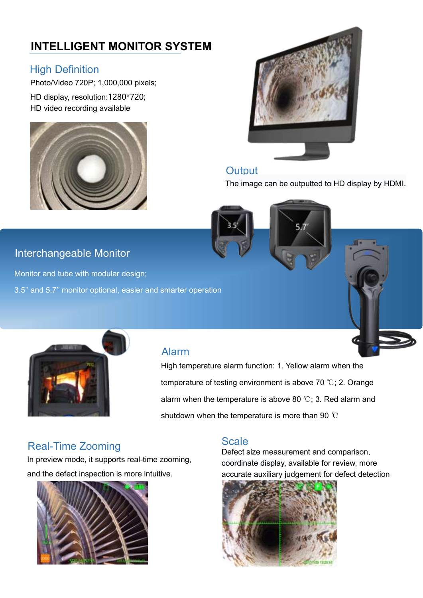# **INTELLIGENT MONITOR SYSTEM**

# High Definition

Photo/Video 720P; 1,000,000 pixels; HD display, resolution:1280\*720; HD video recording available





#### **Output**

The image can be outputted to HD display by HDMI.

# Interchangeable Monitor

Monitor and tube with modular design;

3.5'' and 5.7'' monitor optional, easier and smarter operation



# Alarm

High temperature alarm function: 1. Yellow alarm when the temperature of testing environment is above 70 ℃; 2. Orange alarm when the temperature is above 80 ℃; 3. Red alarm and shutdown when the temperature is more than 90 ℃

# Real-Time Zooming

In preview mode, it supports real-time zooming, and the defect inspection is more intuitive.



# **Scale**

Defect size measurement and comparison, coordinate display, available for review, more accurate auxiliary judgement for defect detection

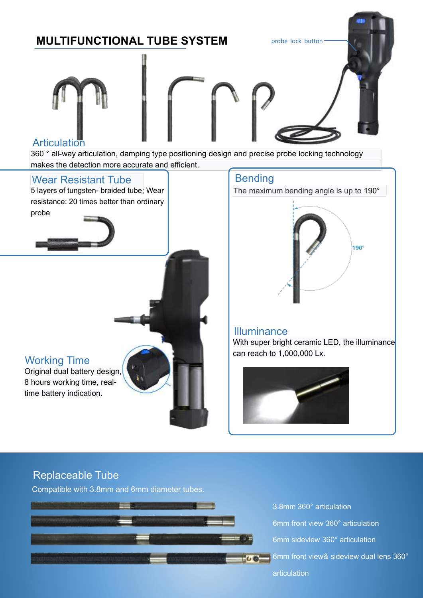# **MULTIFUNCTIONAL TUBE SYSTEM** probe lock button





#### **Articulation**

360 ° all-way articulation, damping type positioning design and precise probe locking technology makes the detection more accurate and efficient.

#### Wear Resistant Tube

5 layers of tungsten- braided tube; Wear resistance: 20 times better than ordinary probe

# **Bending**

The maximum bending angle is up to 190°



## **Illuminance** With super bright ceramic LED, the illuminance can reach to 1,000,000 Lx.

# Working Time

Original dual battery design, 8 hours working time, realtime battery indication.

# Replaceable Tube

Compatible with 3.8mm and 6mm diameter tubes.



3.8mm 360° articulation 6mm front view 360° articulation 6mm sideview 360° articulation 6mm front view& sideview dual lens 360° articulation